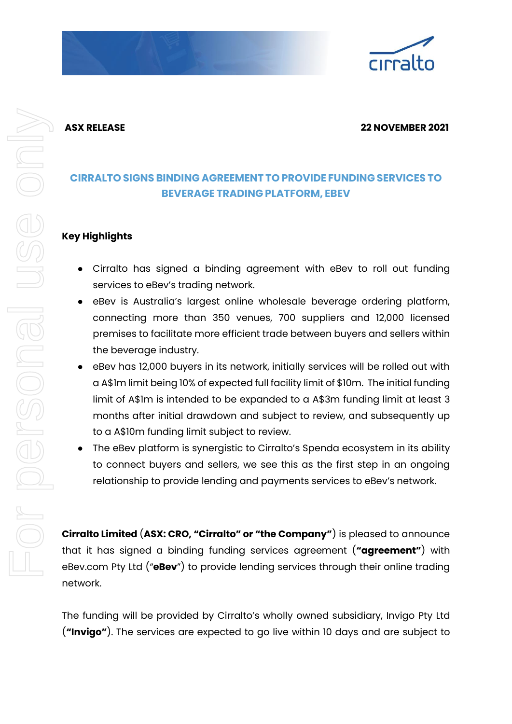

## **ASX RELEASE 22 NOVEMBER 2021**

# **CIRRALTO SIGNS BINDING AGREEMENT TO PROVIDE FUNDING SERVICES TO BEVERAGE TRADING PLATFORM, EBEV**

## **Key Highlights**

- Cirralto has signed a binding agreement with eBev to roll out funding services to eBev's trading network.
- eBev is Australia's largest online wholesale beverage ordering platform, connecting more than 350 venues, 700 suppliers and 12,000 licensed premises to facilitate more efficient trade between buyers and sellers within the beverage industry.
- eBev has 12,000 buyers in its network, initially services will be rolled out with a A\$1m limit being 10% of expected full facility limit of \$10m. The initial funding limit of A\$1m is intended to be expanded to a A\$3m funding limit at least 3 months after initial drawdown and subject to review, and subsequently up to a A\$10m funding limit subject to review.
- The eBev platform is synergistic to Cirralto's Spenda ecosystem in its ability to connect buyers and sellers, we see this as the first step in an ongoing relationship to provide lending and payments services to eBev's network.

**Cirralto Limited** (**ASX: CRO, "Cirralto" or "the Company"**) is pleased to announce that it has signed a binding funding services agreement (**"agreement"**) with eBev.com Pty Ltd ("**eBev**") to provide lending services through their online trading network.

The funding will be provided by Cirralto's wholly owned subsidiary, Invigo Pty Ltd (**"Invigo"**). The services are expected to go live within 10 days and are subject to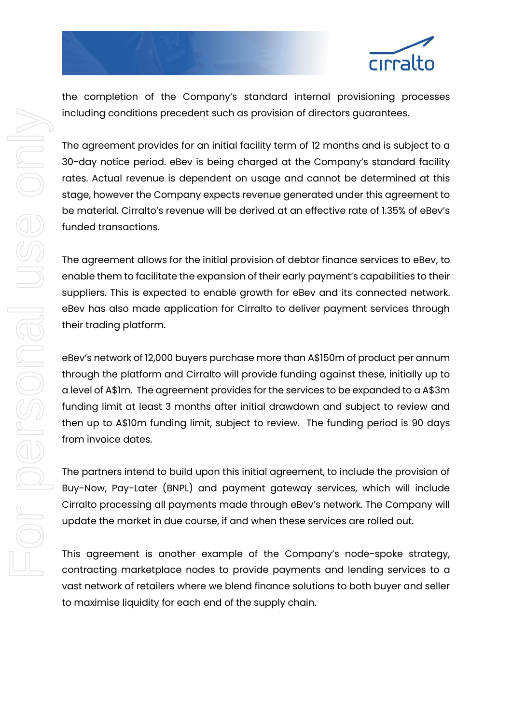

the completion of the Company's standard internal provisioning processes including conditions precedent such as provision of directors guarantees.

The agreement provides for an initial facility term of 12 months and is subject to a 30-day notice period. eBev is being charged at the Company's standard facility rates. Actual revenue is dependent on usage and cannot be determined at this stage, however the Company expects revenue generated under this agreement to be material. Cirralto's revenue will be derived at an effective rate of 1.35% of eBev's funded transactions.

The agreement allows for the initial provision of debtor finance services to eBev, to enable them to facilitate the expansion of their early payment's capabilities to their suppliers. This is expected to enable growth for eBev and its connected network. eBev has also made application for Cirralto to deliver payment services through their trading platform.

eBev's network of 12,000 buyers purchase more than A\$150m of product per annum through the platform and Cirralto will provide funding against these, initially up to a level of A\$1m. The agreement provides for the services to be expanded to a A\$3m funding limit at least 3 months after initial drawdown and subject to review and then up to A\$10m funding limit, subject to review. The funding period is 90 days from invoice dates.

The partners intend to build upon this initial agreement, to include the provision of Buy-Now, Pay-Later (BNPL) and payment gateway services, which will include Cirralto processing all payments made through eBev's network. The Company will update the market in due course, if and when these services are rolled out.

This agreement is another example of the Company's node-spoke strategy, contracting marketplace nodes to provide payments and lending services to a vast network of retailers where we blend finance solutions to both buyer and seller to maximise liquidity for each end of the supply chain.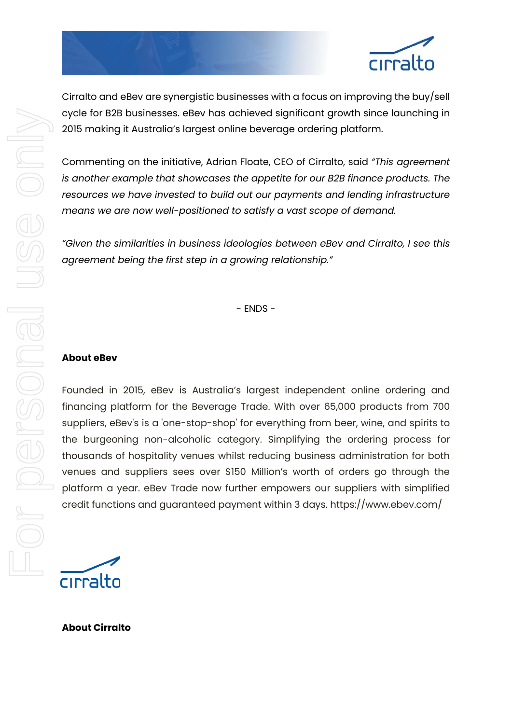

cirralto

Cirralto and eBev are synergistic businesses with a focus on improving the buy/sell cycle for B2B businesses. eBev has achieved significant growth since launching in 2015 making it Australia's largest online beverage ordering platform.

Commenting on the initiative, Adrian Floate, CEO of Cirralto, said *"This agreement is another example that showcases the appetite for our B2B finance products. The resources we have invested to build out our payments and lending infrastructure means we are now well-positioned to satisfy a vast scope of demand.*

*"Given the similarities in business ideologies between eBev and Cirralto, I see this agreement being the first step in a growing relationship."*

- ENDS -

### **About eBev**

Founded in 2015, eBev is Australia's largest independent online ordering and financing platform for the Beverage Trade. With over 65,000 products from 700 suppliers, eBev's is a 'one-stop-shop' for everything from beer, wine, and spirits to the burgeoning non-alcoholic category. Simplifying the ordering process for thousands of hospitality venues whilst reducing business administration for both venues and suppliers sees over \$150 Million's worth of orders go through the platform a year. eBev Trade now further empowers our suppliers with simplified credit functions and guaranteed payment within 3 days. https://www.ebev.com/

cirralto

**About Cirralto**